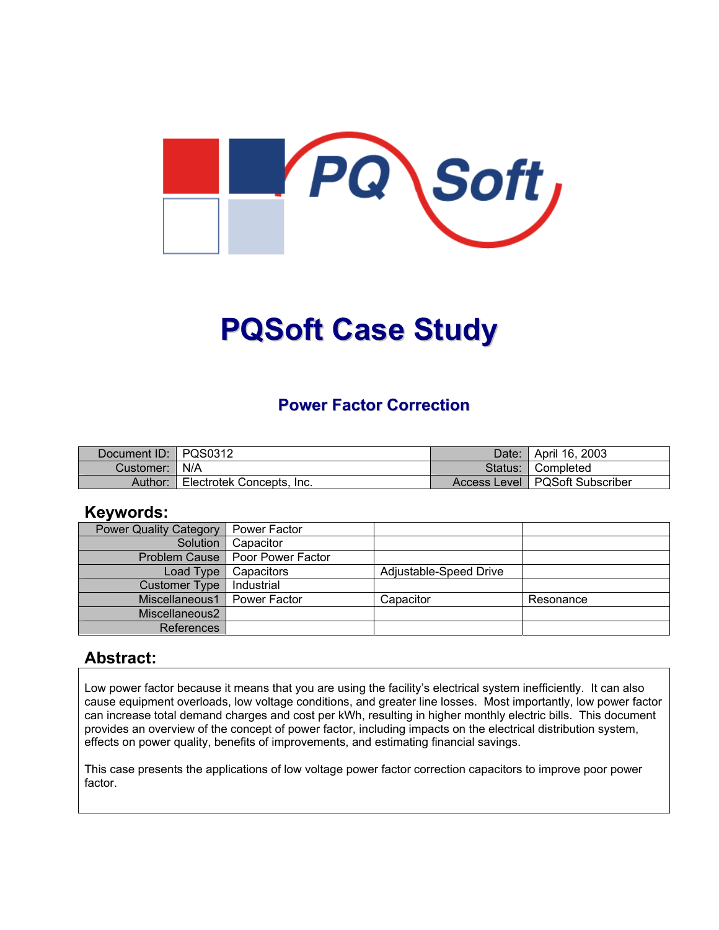

# **PQSoft Case Study**

# **Power Factor Correction**

| Document ID: PQS0312 |                           | Date: I | April 16, 2003                   |
|----------------------|---------------------------|---------|----------------------------------|
| Customer:   N/A      |                           | Status: | <b>■ Completed</b>               |
| Author:              | Electrotek Concepts, Inc. |         | Access Level   PQSoft Subscriber |

### **Keywords:**

| <b>Power Quality Category</b> | <b>Power Factor</b>               |                        |           |
|-------------------------------|-----------------------------------|------------------------|-----------|
| Solution                      | Capacitor                         |                        |           |
|                               | Problem Cause   Poor Power Factor |                        |           |
| Load Type                     | Capacitors                        | Adjustable-Speed Drive |           |
| <b>Customer Type</b>          | Industrial                        |                        |           |
| Miscellaneous1                | Power Factor                      | Capacitor              | Resonance |
| Miscellaneous2                |                                   |                        |           |
| References                    |                                   |                        |           |

### **Abstract:**

Low power factor because it means that you are using the facility's electrical system inefficiently. It can also cause equipment overloads, low voltage conditions, and greater line losses. Most importantly, low power factor can increase total demand charges and cost per kWh, resulting in higher monthly electric bills. This document provides an overview of the concept of power factor, including impacts on the electrical distribution system, effects on power quality, benefits of improvements, and estimating financial savings.

This case presents the applications of low voltage power factor correction capacitors to improve poor power factor.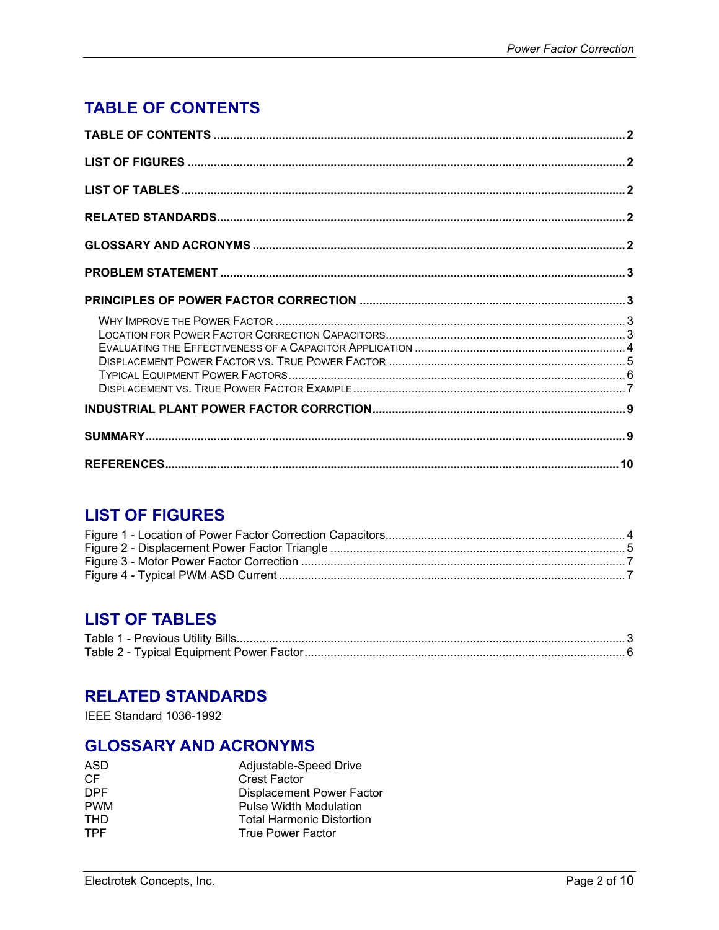# <span id="page-1-0"></span>**TABLE OF CONTENTS**

# **LIST OF FIGURES**

# **LIST OF TABLES**

# **RELATED STANDARDS**

IEEE Standard 1036-1992

# **GLOSSARY AND ACRONYMS**

| ASD        | Adjustable-Speed Drive           |  |
|------------|----------------------------------|--|
| CF         | <b>Crest Factor</b>              |  |
| <b>DPF</b> | Displacement Power Factor        |  |
| <b>PWM</b> | <b>Pulse Width Modulation</b>    |  |
| <b>THD</b> | <b>Total Harmonic Distortion</b> |  |
| <b>TPF</b> | <b>True Power Factor</b>         |  |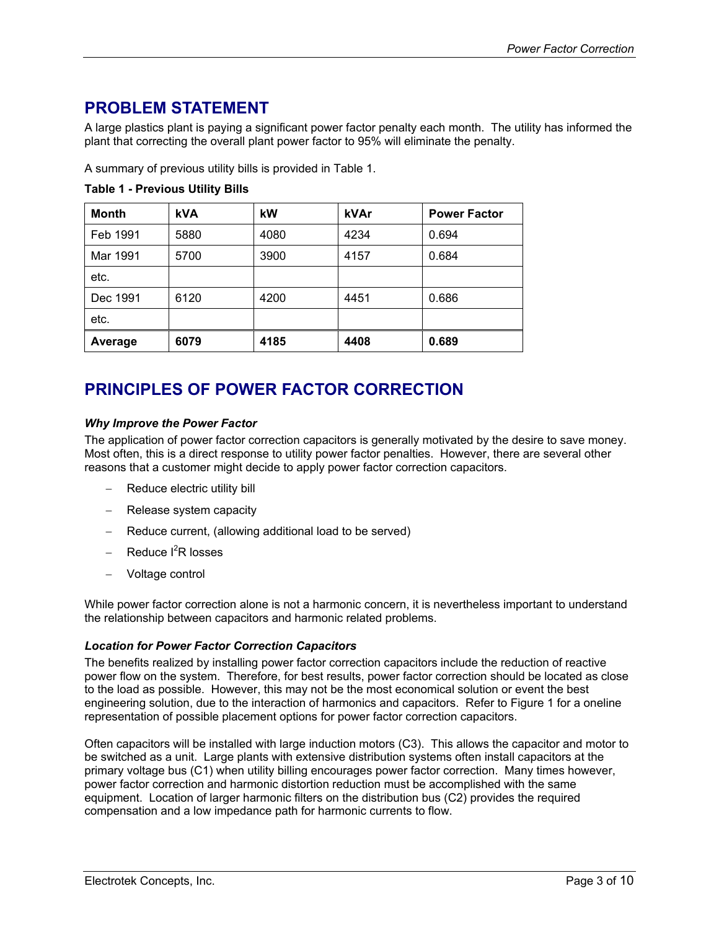# <span id="page-2-0"></span>**PROBLEM STATEMENT**

A large plastics plant is paying a significant power factor penalty each month. The utility has informed the plant that correcting the overall plant power factor to 95% will eliminate the penalty.

A summary of previous utility bills is provided in [Table](#page-2-1) 1.

| <b>Month</b> | <b>kVA</b> | kW   | kVAr | <b>Power Factor</b> |
|--------------|------------|------|------|---------------------|
| Feb 1991     | 5880       | 4080 | 4234 | 0.694               |
| Mar 1991     | 5700       | 3900 | 4157 | 0.684               |
| etc.         |            |      |      |                     |
| Dec 1991     | 6120       | 4200 | 4451 | 0.686               |
| etc.         |            |      |      |                     |
| Average      | 6079       | 4185 | 4408 | 0.689               |

#### <span id="page-2-1"></span>**Table 1 - Previous Utility Bills**

# **PRINCIPLES OF POWER FACTOR CORRECTION**

#### *Why Improve the Power Factor*

The application of power factor correction capacitors is generally motivated by the desire to save money. Most often, this is a direct response to utility power factor penalties. However, there are several other reasons that a customer might decide to apply power factor correction capacitors.

- Reduce electric utility bill
- Release system capacity
- Reduce current, (allowing additional load to be served)
- − Reduce I<sup>2</sup>R losses
- − Voltage control

While power factor correction alone is not a harmonic concern, it is nevertheless important to understand the relationship between capacitors and harmonic related problems.

#### *Location for Power Factor Correction Capacitors*

The benefits realized by installing power factor correction capacitors include the reduction of reactive power flow on the system. Therefore, for best results, power factor correction should be located as close to the load as possible. However, this may not be the most economical solution or event the best engineering solution, due to the interaction of harmonics and capacitors. Refer to [Figure 1](#page-3-1) for a oneline representation of possible placement options for power factor correction capacitors.

Often capacitors will be installed with large induction motors (C3). This allows the capacitor and motor to be switched as a unit. Large plants with extensive distribution systems often install capacitors at the primary voltage bus (C1) when utility billing encourages power factor correction. Many times however, power factor correction and harmonic distortion reduction must be accomplished with the same equipment. Location of larger harmonic filters on the distribution bus (C2) provides the required compensation and a low impedance path for harmonic currents to flow.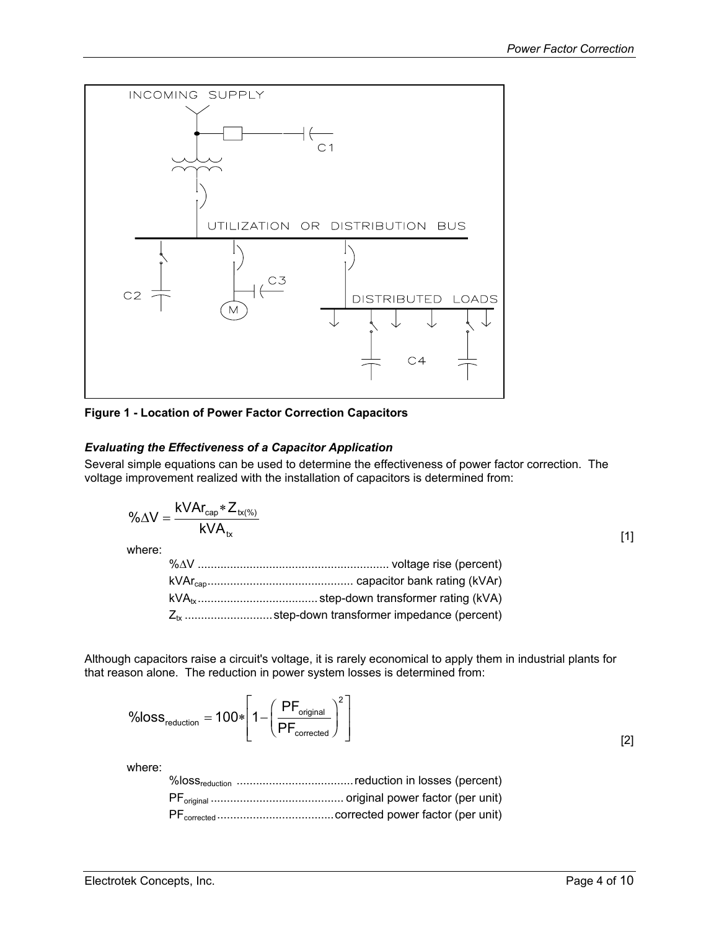<span id="page-3-1"></span><span id="page-3-0"></span>

**Figure 1 - Location of Power Factor Correction Capacitors**

#### *Evaluating the Effectiveness of a Capacitor Application*

Several simple equations can be used to determine the effectiveness of power factor correction. The voltage improvement realized with the installation of capacitors is determined from:

$$
\% \Delta V = \frac{kVAr_{cap} * Z_{tx(\%)}}{kVA_{tx}}
$$

where:

Although capacitors raise a circuit's voltage, it is rarely economical to apply them in industrial plants for that reason alone. The reduction in power system losses is determined from:

$$
\text{\%loss}_{\text{reduction}} = 100 * \left[1 - \left(\frac{\text{PF}_{\text{original}}}{\text{PF}_{\text{corrected}}}\right)^2\right]
$$

where:

[2]

[1]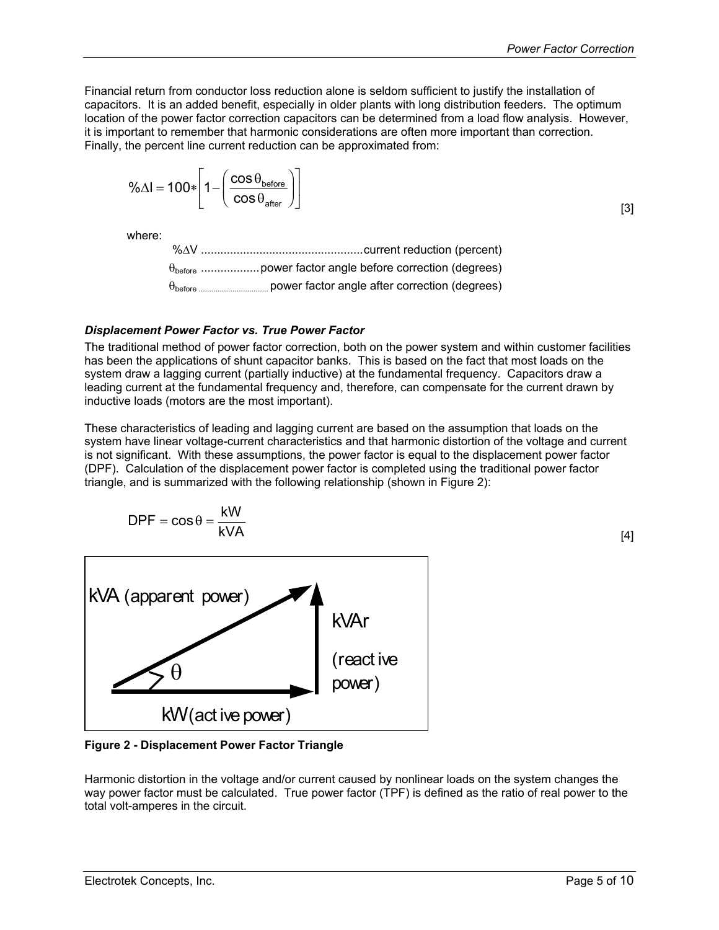<span id="page-4-0"></span>Financial return from conductor loss reduction alone is seldom sufficient to justify the installation of capacitors. It is an added benefit, especially in older plants with long distribution feeders. The optimum location of the power factor correction capacitors can be determined from a load flow analysis. However, it is important to remember that harmonic considerations are often more important than correction. Finally, the percent line current reduction can be approximated from:

$$
\% \Delta I = 100 * \left[ 1 - \left( \frac{\cos \theta_{\text{before}}}{\cos \theta_{\text{after}}} \right) \right]
$$

[3]

[4]

where:

#### *Displacement Power Factor vs. True Power Factor*

The traditional method of power factor correction, both on the power system and within customer facilities has been the applications of shunt capacitor banks. This is based on the fact that most loads on the system draw a lagging current (partially inductive) at the fundamental frequency. Capacitors draw a leading current at the fundamental frequency and, therefore, can compensate for the current drawn by inductive loads (motors are the most important).

These characteristics of leading and lagging current are based on the assumption that loads on the system have linear voltage-current characteristics and that harmonic distortion of the voltage and current is not significant. With these assumptions, the power factor is equal to the displacement power factor (DPF). Calculation of the displacement power factor is completed using the traditional power factor triangle, and is summarized with the following relationship (shown in [Figure](#page-4-1) 2):

$$
DPF = \cos \theta = \frac{kW}{kVA}
$$

<span id="page-4-1"></span>kVAr (react ive power) kW(act ive power) kVA (apparent power) θ

**Figure 2 - Displacement Power Factor Triangle** 

Harmonic distortion in the voltage and/or current caused by nonlinear loads on the system changes the way power factor must be calculated. True power factor (TPF) is defined as the ratio of real power to the total volt-amperes in the circuit.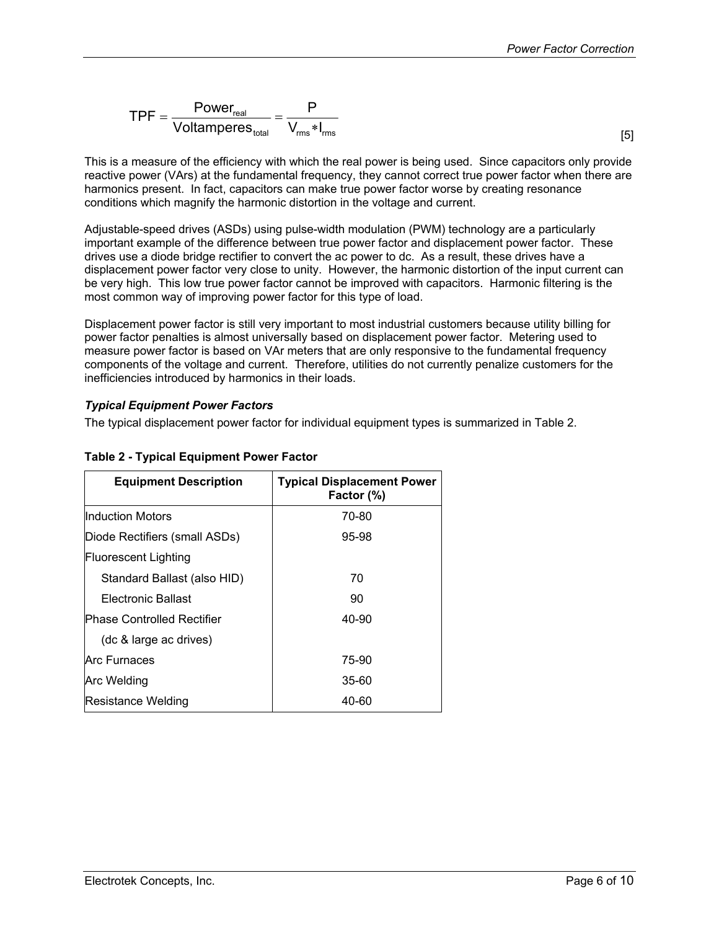<span id="page-5-0"></span>
$$
\text{TPF} = \frac{\text{Power}_{\text{real}}}{\text{Voltamperes}_{\text{total}}} = \frac{P}{V_{\text{rms}} * I_{\text{rms}}}
$$

This is a measure of the efficiency with which the real power is being used. Since capacitors only provide reactive power (VArs) at the fundamental frequency, they cannot correct true power factor when there are harmonics present. In fact, capacitors can make true power factor worse by creating resonance conditions which magnify the harmonic distortion in the voltage and current.

Adjustable-speed drives (ASDs) using pulse-width modulation (PWM) technology are a particularly important example of the difference between true power factor and displacement power factor. These drives use a diode bridge rectifier to convert the ac power to dc. As a result, these drives have a displacement power factor very close to unity. However, the harmonic distortion of the input current can be very high. This low true power factor cannot be improved with capacitors. Harmonic filtering is the most common way of improving power factor for this type of load.

Displacement power factor is still very important to most industrial customers because utility billing for power factor penalties is almost universally based on displacement power factor. Metering used to measure power factor is based on VAr meters that are only responsive to the fundamental frequency components of the voltage and current. Therefore, utilities do not currently penalize customers for the inefficiencies introduced by harmonics in their loads.

#### *Typical Equipment Power Factors*

The typical displacement power factor for individual equipment types is summarized in [Table 2.](#page-5-1)

| <b>Equipment Description</b>      | <b>Typical Displacement Power</b><br>Factor (%) |  |
|-----------------------------------|-------------------------------------------------|--|
| IInduction Motors                 | 70-80                                           |  |
| Diode Rectifiers (small ASDs)     | 95-98                                           |  |
| <b>Fluorescent Lighting</b>       |                                                 |  |
| Standard Ballast (also HID)       | 70                                              |  |
| Electronic Ballast                | 90                                              |  |
| <b>Phase Controlled Rectifier</b> | 40-90                                           |  |
| (dc & large ac drives)            |                                                 |  |
| Arc Furnaces                      | 75-90                                           |  |
| Arc Welding                       | 35-60                                           |  |
| Resistance Welding                | 40-60                                           |  |

#### <span id="page-5-1"></span>**Table 2 - Typical Equipment Power Factor**

Electrotek Concepts, Inc. Page 6 of 10

[5]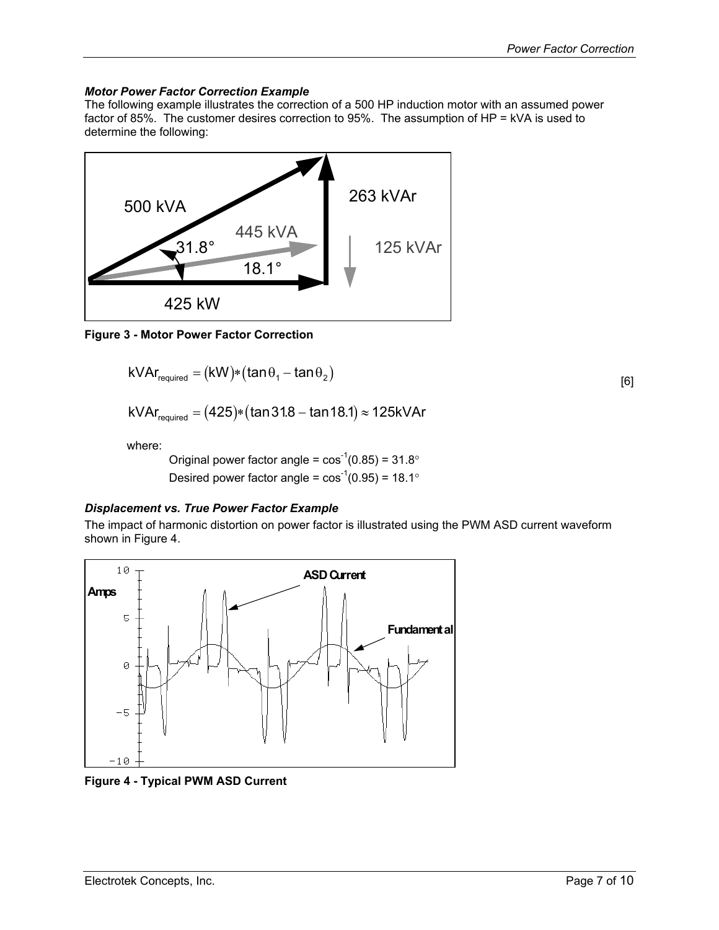#### <span id="page-6-0"></span>*Motor Power Factor Correction Example*

The following example illustrates the correction of a 500 HP induction motor with an assumed power factor of 85%. The customer desires correction to 95%. The assumption of HP = kVA is used to determine the following:



**Figure 3 - Motor Power Factor Correction** 

$$
kVAr_{required} = (kW)*(tan\theta_1 - tan\theta_2)
$$
 [6]

$$
kVAr_{\text{required}} = (425)*(\tan 31.8 - \tan 18.1) \approx 125kVAr
$$

where:

Original power factor angle =  $\cos^{-1}(0.85) = 31.8^\circ$ Desired power factor angle =  $\cos^{-1}(0.95)$  = 18.1°

#### *Displacement vs. True Power Factor Example*

The impact of harmonic distortion on power factor is illustrated using the PWM ASD current waveform shown in [Figure 4.](#page-6-1)

<span id="page-6-1"></span>

**Figure 4 - Typical PWM ASD Current**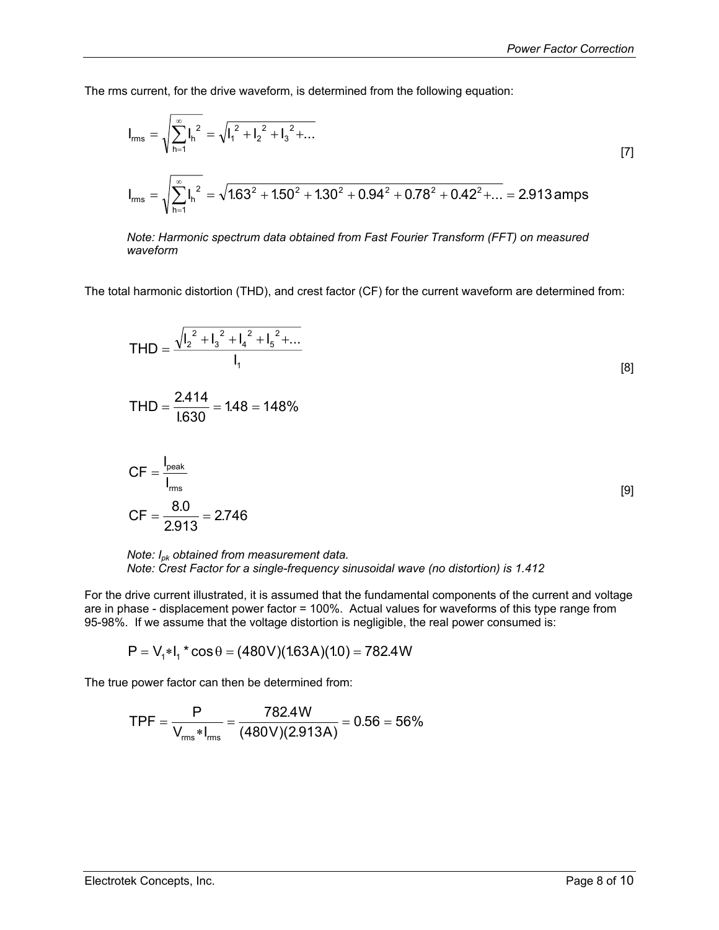The rms current, for the drive waveform, is determined from the following equation:

$$
I_{rms} = \sqrt{\sum_{h=1}^{\infty} I_h^2} = \sqrt{I_1^2 + I_2^2 + I_3^2 + ...}
$$
\n
$$
I_{rms} = \sqrt{\sum_{h=1}^{\infty} I_h^2} = \sqrt{1.63^2 + 1.50^2 + 1.30^2 + 0.94^2 + 0.78^2 + 0.42^2 + ...} = 2.913 \text{ amps}
$$
\n
$$
(7)
$$

*Note: Harmonic spectrum data obtained from Fast Fourier Transform (FFT) on measured waveform*

The total harmonic distortion (THD), and crest factor (CF) for the current waveform are determined from:

$$
THD = \frac{\sqrt{I_2^2 + I_3^2 + I_4^2 + I_5^2 + \dots}}{I_1}
$$
 [8]

$$
THD = \frac{2.414}{1.630} = 1.48 = 148\%
$$

$$
CF = \frac{I_{\text{peak}}}{I_{\text{rms}}}
$$
  
CF =  $\frac{8.0}{2.913}$  = 2.746 [9]

*Note: Ipk obtained from measurement data. Note: Crest Factor for a single-frequency sinusoidal wave (no distortion) is 1.412*

For the drive current illustrated, it is assumed that the fundamental components of the current and voltage are in phase - displacement power factor = 100%. Actual values for waveforms of this type range from 95-98%. If we assume that the voltage distortion is negligible, the real power consumed is:

$$
P = V_1 * I_1 * cos \theta = (480V)(1.63A)(1.0) = 782.4W
$$

The true power factor can then be determined from:

$$
TPF = \frac{P}{V_{\text{rms}} * I_{\text{rms}}} = \frac{782.4 \text{W}}{(480 \text{V})(2.913 \text{A})} = 0.56 = 56\%
$$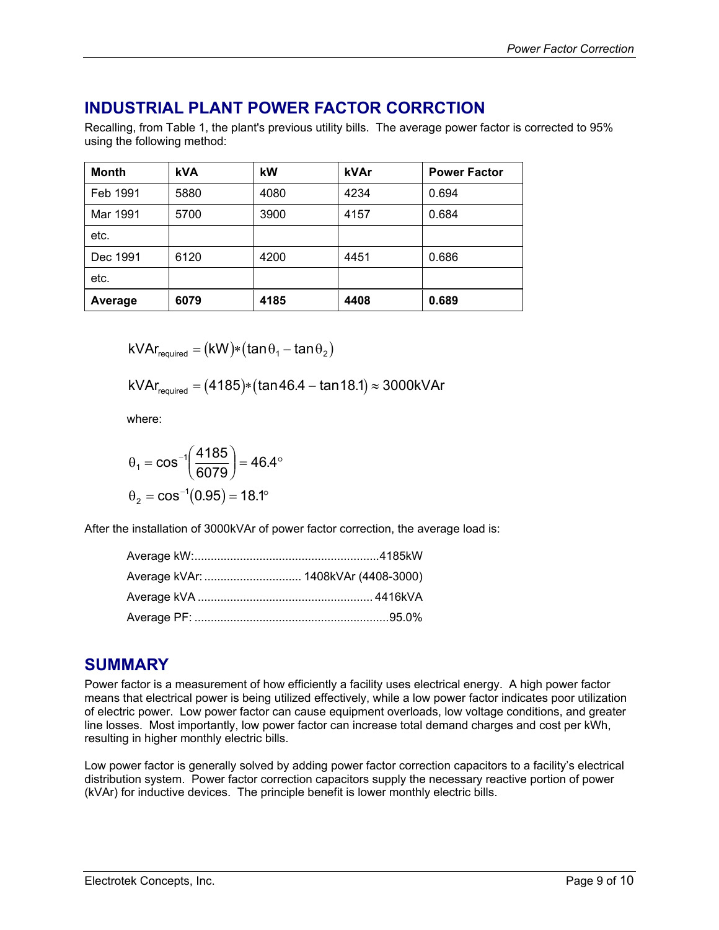# <span id="page-8-0"></span>**INDUSTRIAL PLANT POWER FACTOR CORRCTION**

Recalling, from [Table 1,](#page-2-1) the plant's previous utility bills. The average power factor is corrected to 95% using the following method:

| <b>Month</b> | <b>kVA</b> | kW   | kVAr | <b>Power Factor</b> |
|--------------|------------|------|------|---------------------|
| Feb 1991     | 5880       | 4080 | 4234 | 0.694               |
| Mar 1991     | 5700       | 3900 | 4157 | 0.684               |
| etc.         |            |      |      |                     |
| Dec 1991     | 6120       | 4200 | 4451 | 0.686               |
| etc.         |            |      |      |                     |
| Average      | 6079       | 4185 | 4408 | 0.689               |

 $kVAr_{recuired} = (kW)*(tan\theta_1 - tan\theta_2)$ 

$$
kVAr_{\text{required}} = (4185)*(\tan 46.4 - \tan 18.1) \approx 3000kVAr
$$

where:

$$
\theta_1 = \cos^{-1}\left(\frac{4185}{6079}\right) = 46.4^{\circ}
$$

$$
\theta_2 = \cos^{-1}(0.95) = 18.1^{\circ}
$$

After the installation of 3000kVAr of power factor correction, the average load is:

# **SUMMARY**

Power factor is a measurement of how efficiently a facility uses electrical energy. A high power factor means that electrical power is being utilized effectively, while a low power factor indicates poor utilization of electric power. Low power factor can cause equipment overloads, low voltage conditions, and greater line losses. Most importantly, low power factor can increase total demand charges and cost per kWh, resulting in higher monthly electric bills.

Low power factor is generally solved by adding power factor correction capacitors to a facility's electrical distribution system. Power factor correction capacitors supply the necessary reactive portion of power (kVAr) for inductive devices. The principle benefit is lower monthly electric bills.